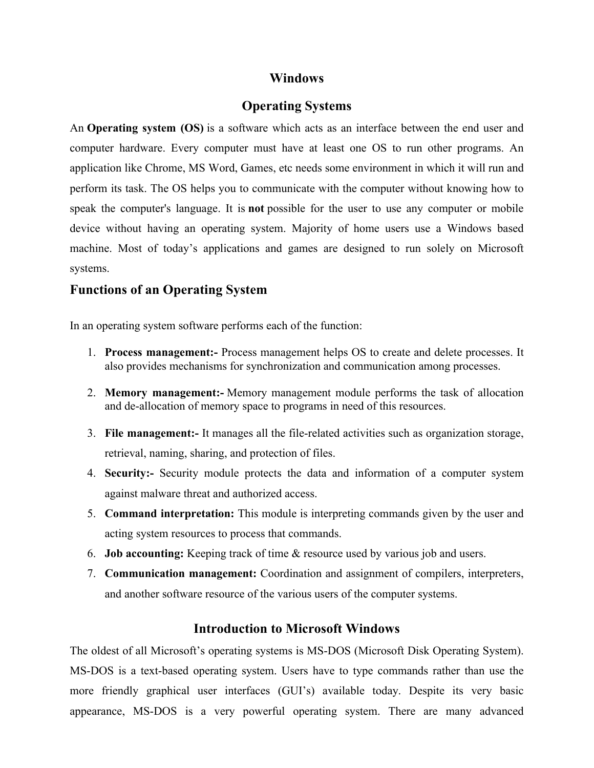## **Windows**

# **Operating Systems**

An **Operating system (OS)** is a software which acts as an interface between the end user and computer hardware. Every computer must have at least one OS to run other programs. An application like Chrome, MS Word, Games, etc needs some environment in which it will run and perform its task. The OS helps you to communicate with the computer without knowing how to speak the computer's language. It is **not** possible for the user to use any computer or mobile device without having an operating system. Majority of home users use a Windows based machine. Most of today's applications and games are designed to run solely on Microsoft systems.

# **Functions of an Operating System**

In an operating system software performs each of the function:

- 1. **Process management:-** Process management helps OS to create and delete processes. It also provides mechanisms for synchronization and communication among processes.
- 2. **Memory management:-** Memory management module performs the task of allocation and de-allocation of memory space to programs in need of this resources.
- 3. **File management:-** It manages all the file-related activities such as organization storage, retrieval, naming, sharing, and protection of files.
- 4. **Security:-** Security module protects the data and information of a computer system against malware threat and authorized access.
- 5. **Command interpretation:** This module is interpreting commands given by the user and acting system resources to process that commands.
- 6. **Job accounting:** Keeping track of time & resource used by various job and users.
- 7. **Communication management:** Coordination and assignment of compilers, interpreters, and another software resource of the various users of the computer systems.

# **Introduction to Microsoft Windows**

The oldest of all Microsoft's operating systems is MS-DOS (Microsoft Disk Operating System). MS-DOS is a text-based operating system. Users have to type commands rather than use the more friendly graphical user interfaces (GUI's) available today. Despite its very basic appearance, MS-DOS is a very powerful operating system. There are many advanced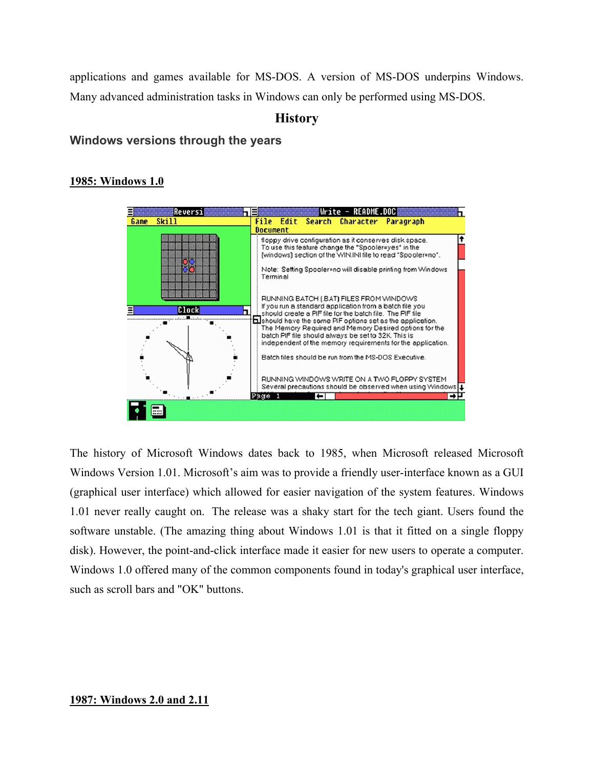applications and games available for MS-DOS. A version of MS-DOS underpins Windows. Many advanced administration tasks in Windows can only be performed using MS-DOS.

# **History**

## **Windows versions through the years**

## **1985: Windows 1.0**



The history of Microsoft Windows dates back to 1985, when Microsoft released Microsoft Windows Version 1.01. Microsoft's aim was to provide a friendly user-interface known as a GUI (graphical user interface) which allowed for easier navigation of the system features. Windows 1.01 never really caught on. The release was a shaky start for the tech giant. Users found the software unstable. (The amazing thing about Windows 1.01 is that it fitted on a single floppy disk). However, the point-and-click interface made it easier for new users to operate a computer. Windows 1.0 offered many of the common components found in today's graphical user interface, such as scroll bars and "OK" buttons.

#### **1987: Windows 2.0 and 2.11**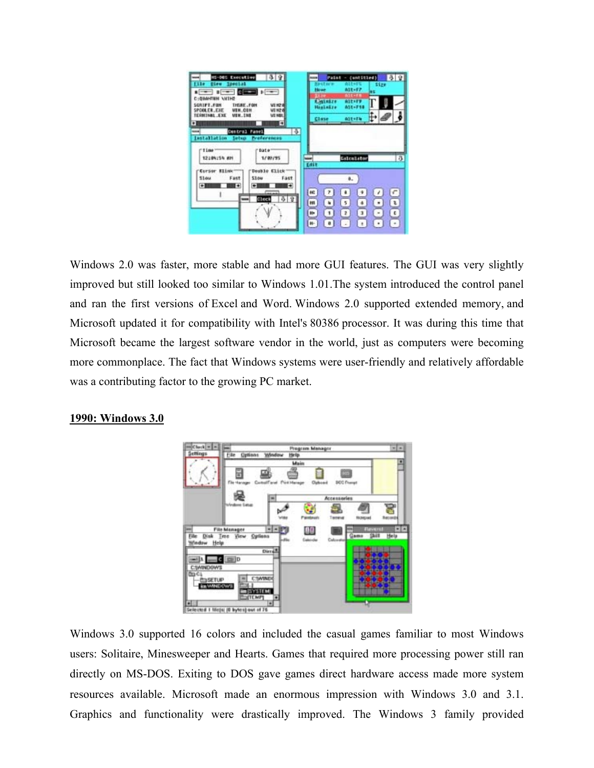

Windows 2.0 was faster, more stable and had more GUI features. The GUI was very slightly improved but still looked too similar to Windows 1.01.The system introduced the control panel and ran the first versions of Excel and Word. Windows 2.0 supported extended memory, and Microsoft updated it for compatibility with Intel's 80386 processor. It was during this time that Microsoft became the largest software vendor in the world, just as computers were becoming more commonplace. The fact that Windows systems were user-friendly and relatively affordable was a contributing factor to the growing PC market.

### **1990: Windows 3.0**



Windows 3.0 supported 16 colors and included the casual games familiar to most Windows users: Solitaire, Minesweeper and Hearts. Games that required more processing power still ran directly on MS-DOS. Exiting to DOS gave games direct hardware access made more system resources available. Microsoft made an enormous impression with Windows 3.0 and 3.1. Graphics and functionality were drastically improved. The Windows 3 family provided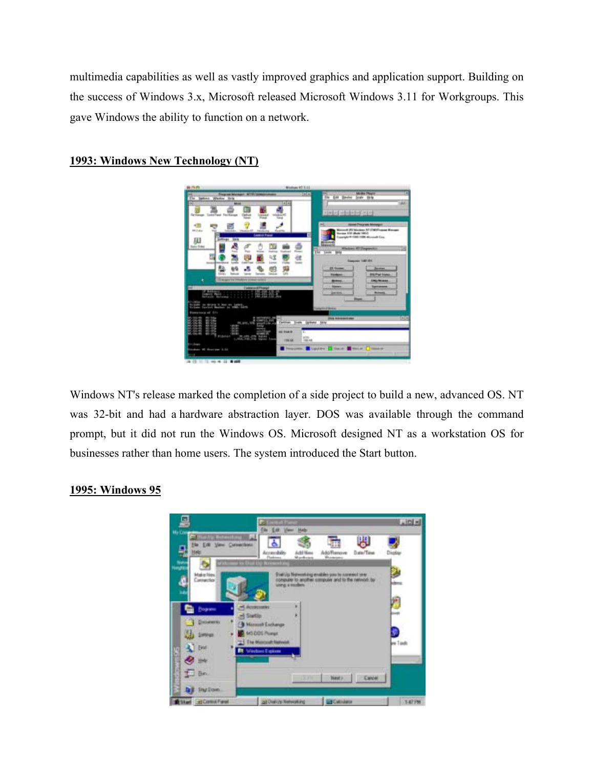multimedia capabilities as well as vastly improved graphics and application support. Building on the success of Windows 3.x, Microsoft released Microsoft Windows 3.11 for Workgroups. This gave Windows the ability to function on a network.



## **1993: Windows New Technology (NT)**

Windows NT's release marked the completion of a side project to build a new, advanced OS. NT was 32-bit and had a hardware abstraction layer. DOS was available through the command prompt, but it did not run the Windows OS. Microsoft designed NT as a workstation OS for businesses rather than home users. The system introduced the Start button.

### **1995: Windows 95**

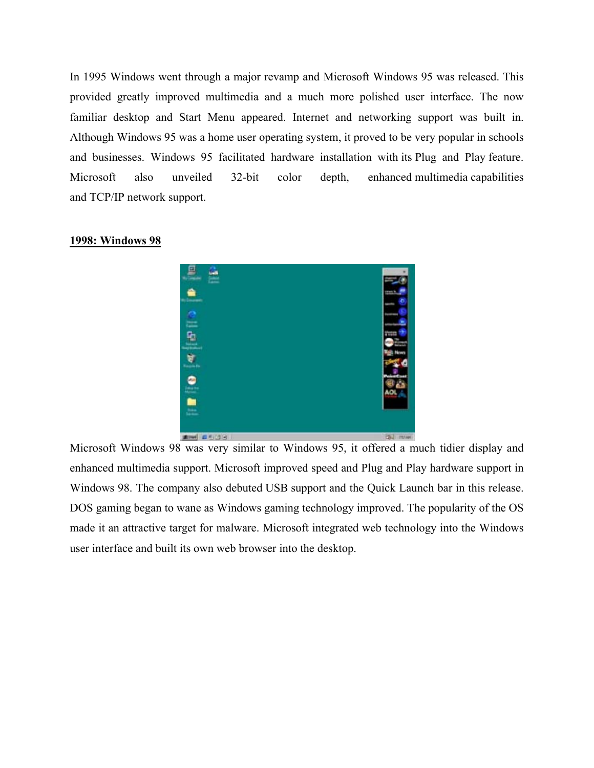In 1995 Windows went through a major revamp and Microsoft Windows 95 was released. This provided greatly improved multimedia and a much more polished user interface. The now familiar desktop and Start Menu appeared. Internet and networking support was built in. Although Windows 95 was a home user operating system, it proved to be very popular in schools and businesses. Windows 95 facilitated hardware installation with its Plug and Play feature. Microsoft also unveiled 32-bit color depth, enhanced multimedia capabilities and TCP/IP network support.

#### **1998: Windows 98**



Microsoft Windows 98 was very similar to Windows 95, it offered a much tidier display and enhanced multimedia support. Microsoft improved speed and Plug and Play hardware support in Windows 98. The company also debuted USB support and the Quick Launch bar in this release. DOS gaming began to wane as Windows gaming technology improved. The popularity of the OS made it an attractive target for malware. Microsoft integrated web technology into the Windows user interface and built its own web browser into the desktop.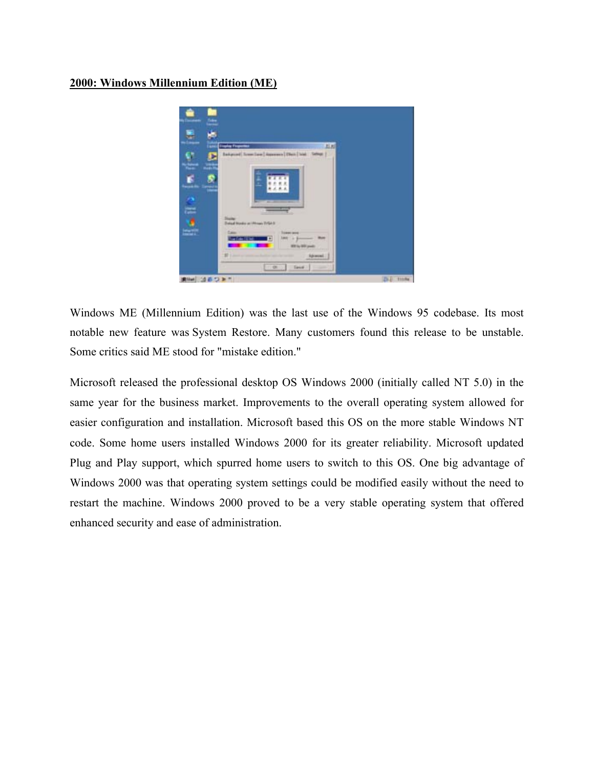### **2000: Windows Millennium Edition (ME)**



Windows ME (Millennium Edition) was the last use of the Windows 95 codebase. Its most notable new feature was System Restore. Many customers found this release to be unstable. Some critics said ME stood for "mistake edition."

Microsoft released the professional desktop OS Windows 2000 (initially called NT 5.0) in the same year for the business market. Improvements to the overall operating system allowed for easier configuration and installation. Microsoft based this OS on the more stable Windows NT code. Some home users installed Windows 2000 for its greater reliability. Microsoft updated Plug and Play support, which spurred home users to switch to this OS. One big advantage of Windows 2000 was that operating system settings could be modified easily without the need to restart the machine. Windows 2000 proved to be a very stable operating system that offered enhanced security and ease of administration.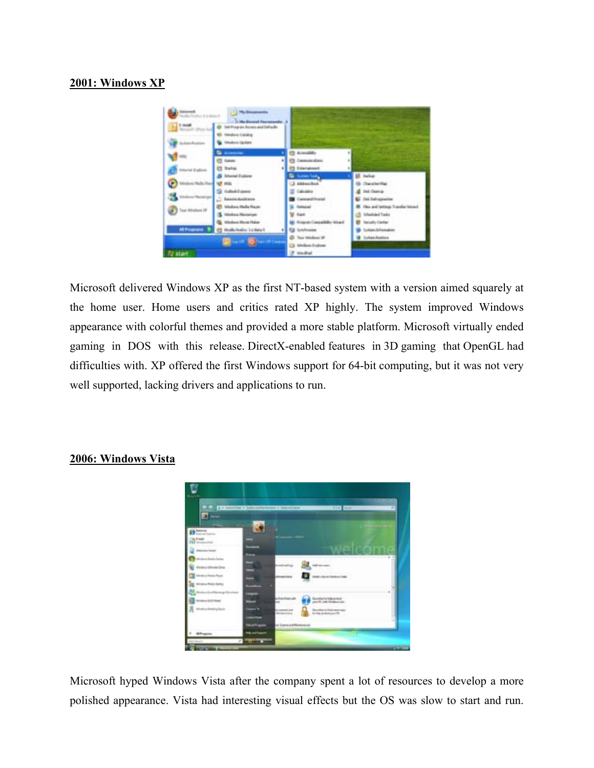### **2001: Windows XP**



Microsoft delivered Windows XP as the first NT-based system with a version aimed squarely at the home user. Home users and critics rated XP highly. The system improved Windows appearance with colorful themes and provided a more stable platform. Microsoft virtually ended gaming in DOS with this release. DirectX-enabled features in 3D gaming that OpenGL had difficulties with. XP offered the first Windows support for 64-bit computing, but it was not very well supported, lacking drivers and applications to run.



#### **2006: Windows Vista**

Microsoft hyped Windows Vista after the company spent a lot of resources to develop a more polished appearance. Vista had interesting visual effects but the OS was slow to start and run.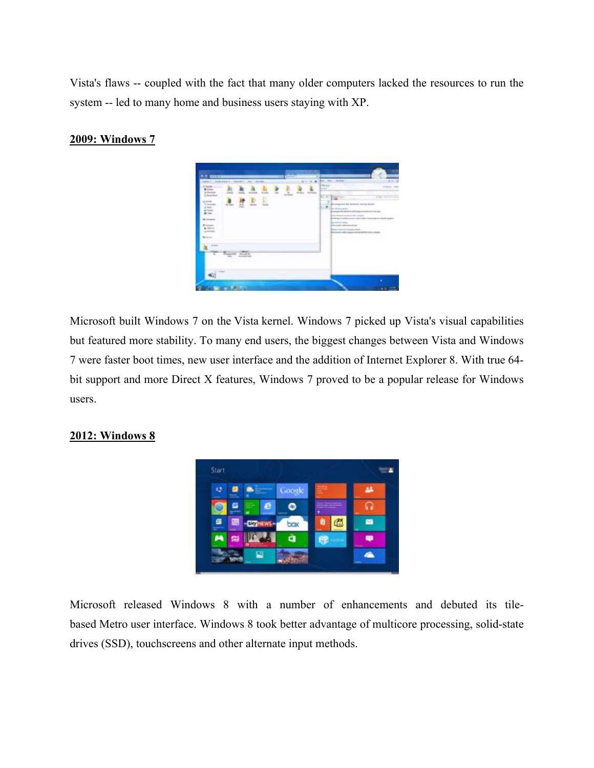Vista's flaws -- coupled with the fact that many older computers lacked the resources to run the system -- led to many home and business users staying with XP.

### **2009: Windows 7**



Microsoft built Windows 7 on the Vista kernel. Windows 7 picked up Vista's visual capabilities but featured more stability. To many end users, the biggest changes between Vista and Windows 7 were faster boot times, new user interface and the addition of Internet Explorer 8. With true 64 bit support and more Direct X features, Windows 7 proved to be a popular release for Windows users.

### **2012: Windows 8**



Microsoft released Windows 8 with a number of enhancements and debuted its tilebased Metro user interface. Windows 8 took better advantage of multicore processing, solid-state drives (SSD), touchscreens and other alternate input methods.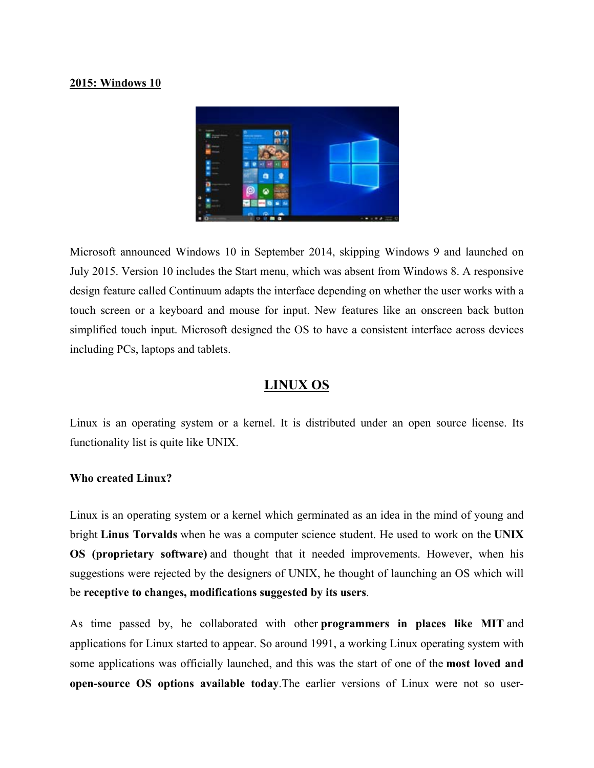#### **2015: Windows 10**



Microsoft announced Windows 10 in September 2014, skipping Windows 9 and launched on July 2015. Version 10 includes the Start menu, which was absent from Windows 8. A responsive design feature called Continuum adapts the interface depending on whether the user works with a touch screen or a keyboard and mouse for input. New features like an onscreen back button simplified touch input. Microsoft designed the OS to have a consistent interface across devices including PCs, laptops and tablets.

## **LINUX OS**

Linux is an operating system or a kernel. It is distributed under an open source license. Its functionality list is quite like UNIX.

### **Who created Linux?**

Linux is an operating system or a kernel which germinated as an idea in the mind of young and bright **Linus Torvalds** when he was a computer science student. He used to work on the **UNIX OS (proprietary software)** and thought that it needed improvements. However, when his suggestions were rejected by the designers of UNIX, he thought of launching an OS which will be **receptive to changes, modifications suggested by its users**.

As time passed by, he collaborated with other **programmers in places like MIT** and applications for Linux started to appear. So around 1991, a working Linux operating system with some applications was officially launched, and this was the start of one of the **most loved and open-source OS options available today**.The earlier versions of Linux were not so user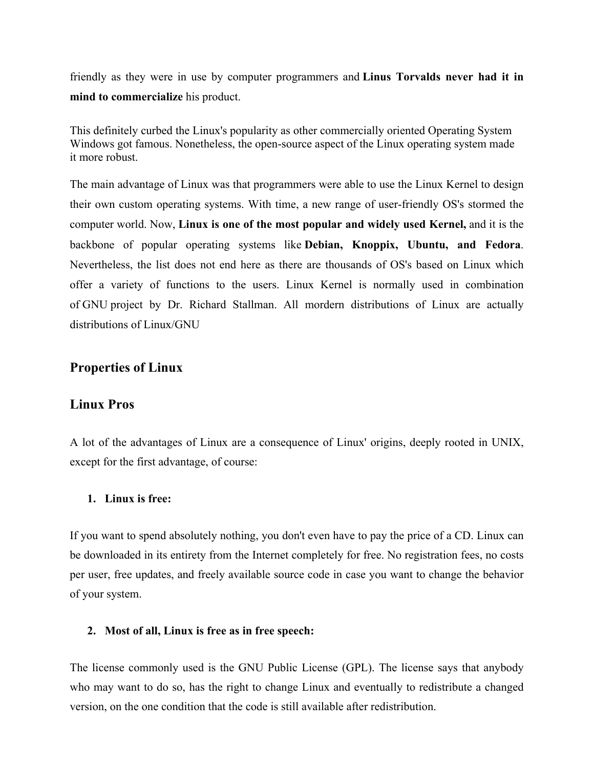friendly as they were in use by computer programmers and **Linus Torvalds never had it in mind to commercialize** his product.

This definitely curbed the Linux's popularity as other commercially oriented Operating System Windows got famous. Nonetheless, the open-source aspect of the Linux operating system made it more robust.

The main advantage of Linux was that programmers were able to use the Linux Kernel to design their own custom operating systems. With time, a new range of user-friendly OS's stormed the computer world. Now, **Linux is one of the most popular and widely used Kernel,** and it is the backbone of popular operating systems like **Debian, Knoppix, Ubuntu, and Fedora**. Nevertheless, the list does not end here as there are thousands of OS's based on Linux which offer a variety of functions to the users. Linux Kernel is normally used in combination of GNU project by Dr. Richard Stallman. All mordern distributions of Linux are actually distributions of Linux/GNU

### **Properties of Linux**

## **Linux Pros**

A lot of the advantages of Linux are a consequence of Linux' origins, deeply rooted in UNIX, except for the first advantage, of course:

#### **1. Linux is free:**

If you want to spend absolutely nothing, you don't even have to pay the price of a CD. Linux can be downloaded in its entirety from the Internet completely for free. No registration fees, no costs per user, free updates, and freely available source code in case you want to change the behavior of your system.

#### **2. Most of all, Linux is free as in free speech:**

The license commonly used is the GNU Public License (GPL). The license says that anybody who may want to do so, has the right to change Linux and eventually to redistribute a changed version, on the one condition that the code is still available after redistribution.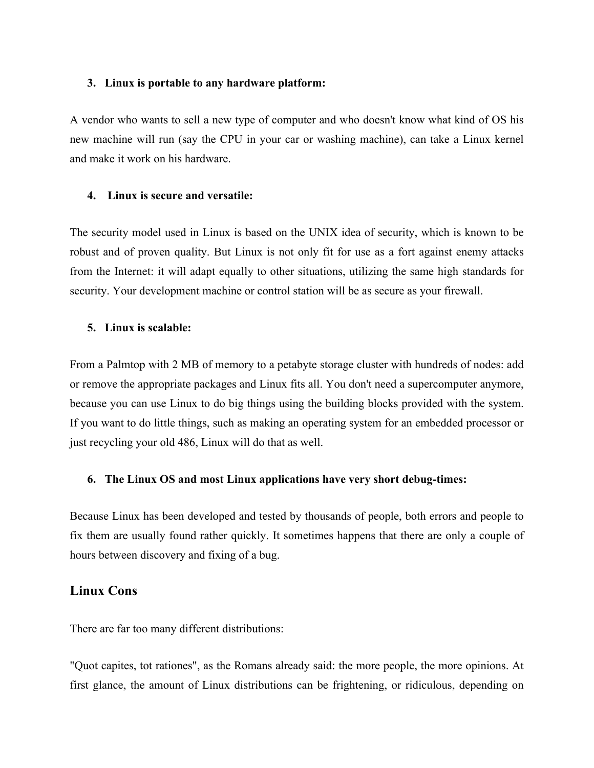#### **3. Linux is portable to any hardware platform:**

A vendor who wants to sell a new type of computer and who doesn't know what kind of OS his new machine will run (say the CPU in your car or washing machine), can take a Linux kernel and make it work on his hardware.

#### **4. Linux is secure and versatile:**

The security model used in Linux is based on the UNIX idea of security, which is known to be robust and of proven quality. But Linux is not only fit for use as a fort against enemy attacks from the Internet: it will adapt equally to other situations, utilizing the same high standards for security. Your development machine or control station will be as secure as your firewall.

### **5. Linux is scalable:**

From a Palmtop with 2 MB of memory to a petabyte storage cluster with hundreds of nodes: add or remove the appropriate packages and Linux fits all. You don't need a supercomputer anymore, because you can use Linux to do big things using the building blocks provided with the system. If you want to do little things, such as making an operating system for an embedded processor or just recycling your old 486, Linux will do that as well.

### **6. The Linux OS and most Linux applications have very short debug-times:**

Because Linux has been developed and tested by thousands of people, both errors and people to fix them are usually found rather quickly. It sometimes happens that there are only a couple of hours between discovery and fixing of a bug.

## **Linux Cons**

There are far too many different distributions:

"Quot capites, tot rationes", as the Romans already said: the more people, the more opinions. At first glance, the amount of Linux distributions can be frightening, or ridiculous, depending on